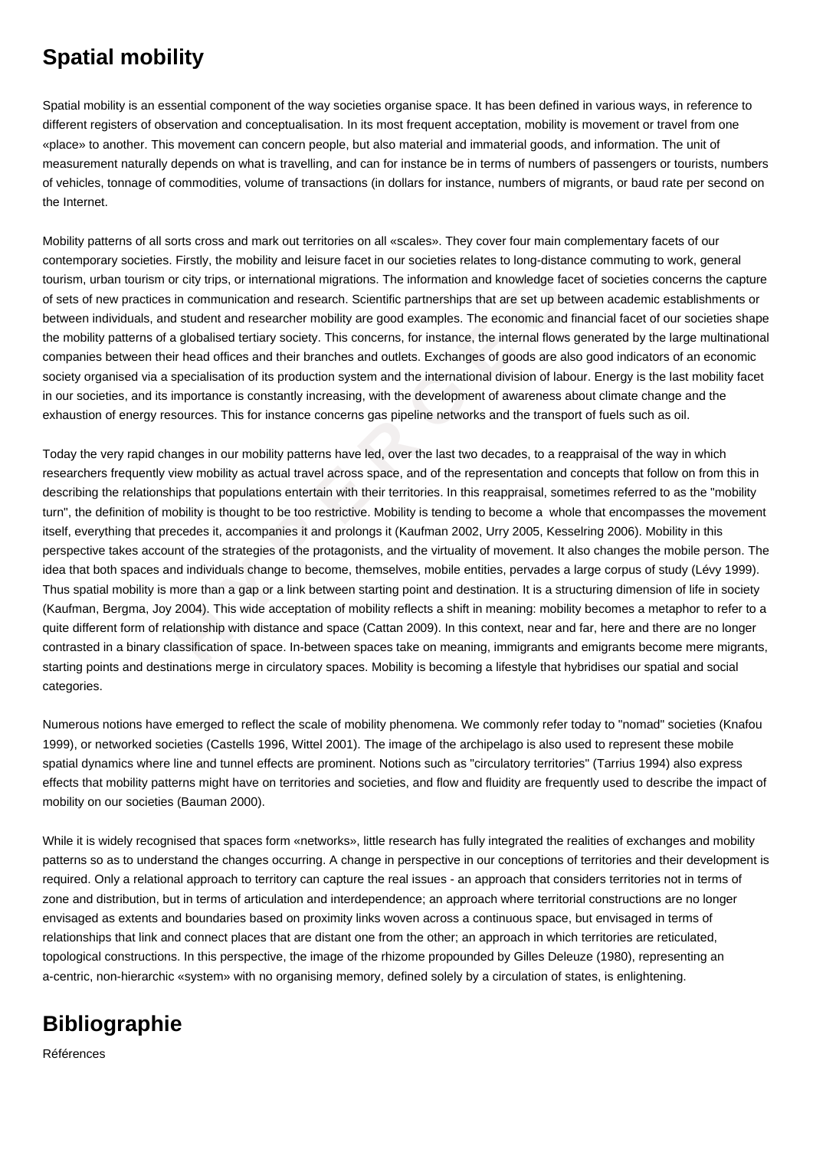## **Spatial mobility**

Spatial mobility is an essential component of the way societies organise space. It has been defined in various ways, in reference to different registers of observation and conceptualisation. In its most frequent acceptation, mobility is movement or travel from one «place» to another. This movement can concern people, but also material and immaterial goods, and information. The unit of measurement naturally depends on what is travelling, and can for instance be in terms of numbers of passengers or tourists, numbers of vehicles, tonnage of commodities, volume of transactions (in dollars for instance, numbers of migrants, or baud rate per second on the Internet.

Mobility patterns of all sorts cross and mark out territories on all «scales». They cover four main complementary facets of our contemporary societies. Firstly, the mobility and leisure facet in our societies relates to long-distance commuting to work, general tourism, urban tourism or city trips, or international migrations. The information and knowledge facet of societies concerns the capture of sets of new practices in communication and research. Scientific partnerships that are set up between academic establishments or between individuals, and student and researcher mobility are good examples. The economic and financial facet of our societies shape the mobility patterns of a globalised tertiary society. This concerns, for instance, the internal flows generated by the large multinational companies between their head offices and their branches and outlets. Exchanges of goods are also good indicators of an economic society organised via a specialisation of its production system and the international division of labour. Energy is the last mobility facet in our societies, and its importance is constantly increasing, with the development of awareness about climate change and the exhaustion of energy resources. This for instance concerns gas pipeline networks and the transport of fuels such as oil.

urism or city trips, or international migrations. The information and knowledge facet<br>eticies in communication and research. Scientific partnerships that are set up betwe<br>als, and student and researcher mobiitly are good e Today the very rapid changes in our mobility patterns have led, over the last two decades, to a reappraisal of the way in which researchers frequently view mobility as actual travel across space, and of the representation and concepts that follow on from this in describing the relationships that populations entertain with their territories. In this reappraisal, sometimes referred to as the "mobility turn", the definition of mobility is thought to be too restrictive. Mobility is tending to become a whole that encompasses the movement itself, everything that precedes it, accompanies it and prolongs it (Kaufman 2002, Urry 2005, Kesselring 2006). Mobility in this perspective takes account of the strategies of the protagonists, and the virtuality of movement. It also changes the mobile person. The idea that both spaces and individuals change to become, themselves, mobile entities, pervades a large corpus of study (Lévy 1999). Thus spatial mobility is more than a gap or a link between starting point and destination. It is a structuring dimension of life in society (Kaufman, Bergma, Joy 2004). This wide acceptation of mobility reflects a shift in meaning: mobility becomes a metaphor to refer to a quite different form of relationship with distance and space (Cattan 2009). In this context, near and far, here and there are no longer contrasted in a binary classification of space. In-between spaces take on meaning, immigrants and emigrants become mere migrants, starting points and destinations merge in circulatory spaces. Mobility is becoming a lifestyle that hybridises our spatial and social categories.

Numerous notions have emerged to reflect the scale of mobility phenomena. We commonly refer today to "nomad" societies (Knafou 1999), or networked societies (Castells 1996, Wittel 2001). The image of the archipelago is also used to represent these mobile spatial dynamics where line and tunnel effects are prominent. Notions such as "circulatory territories" (Tarrius 1994) also express effects that mobility patterns might have on territories and societies, and flow and fluidity are frequently used to describe the impact of mobility on our societies (Bauman 2000).

While it is widely recognised that spaces form «networks», little research has fully integrated the realities of exchanges and mobility patterns so as to understand the changes occurring. A change in perspective in our conceptions of territories and their development is required. Only a relational approach to territory can capture the real issues - an approach that considers territories not in terms of zone and distribution, but in terms of articulation and interdependence; an approach where territorial constructions are no longer envisaged as extents and boundaries based on proximity links woven across a continuous space, but envisaged in terms of relationships that link and connect places that are distant one from the other; an approach in which territories are reticulated, topological constructions. In this perspective, the image of the rhizome propounded by Gilles Deleuze (1980), representing an a-centric, non-hierarchic «system» with no organising memory, defined solely by a circulation of states, is enlightening.

## **Bibliographie**

Références